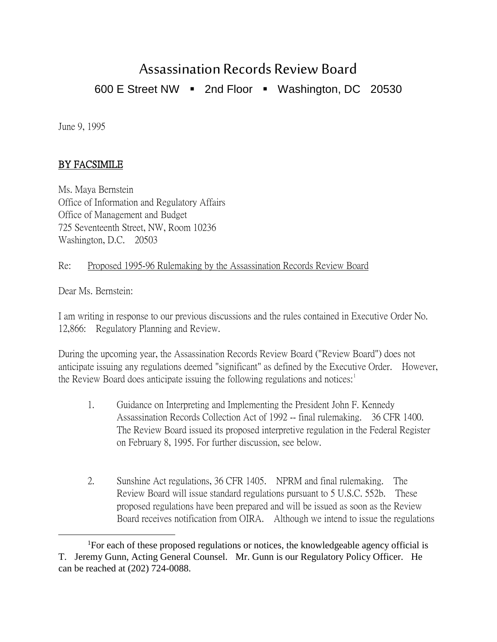# Assassination Records Review Board

600 E Street NW  $\blacksquare$  2nd Floor  $\blacksquare$  Washington, DC 20530

June 9, 1995

## BY FACSIMILE

Ms. Maya Bernstein Office of Information and Regulatory Affairs Office of Management and Budget 725 Seventeenth Street, NW, Room 10236 Washington, D.C. 20503

#### Re: Proposed 1995-96 Rulemaking by the Assassination Records Review Board

Dear Ms. Bernstein:

I am writing in response to our previous discussions and the rules contained in Executive Order No. 12,866: Regulatory Planning and Review.

During the upcoming year, the Assassination Records Review Board ("Review Board") does not anticipate issuing any regulations deemed "significant" as defined by the Executive Order. However, the Review Board does anticipate issuing the following regulations and notices: $1$ 

- 1. Guidance on Interpreting and Implementing the President John F. Kennedy Assassination Records Collection Act of 1992 -- final rulemaking. 36 CFR 1400. The Review Board issued its proposed interpretive regulation in the Federal Register on February 8, 1995. For further discussion, see below.
- 2. Sunshine Act regulations, 36 CFR 1405. NPRM and final rulemaking. The Review Board will issue standard regulations pursuant to 5 U.S.C. 552b. These proposed regulations have been prepared and will be issued as soon as the Review Board receives notification from OIRA. Although we intend to issue the regulations

<span id="page-0-0"></span><sup>1&</sup>lt;sup>1</sup> <sup>1</sup>For each of these proposed regulations or notices, the knowledgeable agency official is T. Jeremy Gunn, Acting General Counsel. Mr. Gunn is our Regulatory Policy Officer. He can be reached at (202) 724-0088.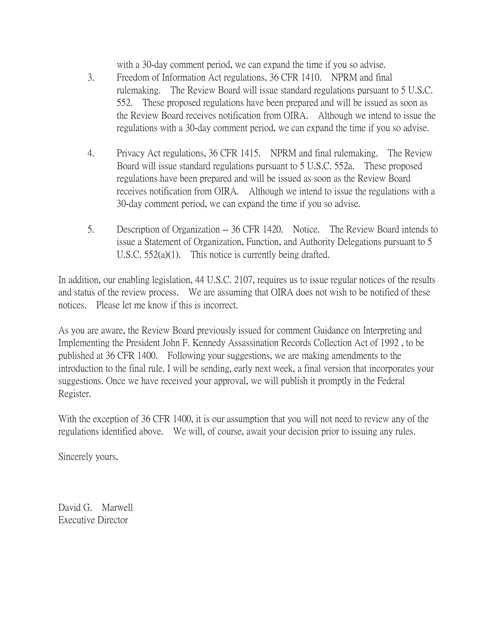with a 30-day comment period, we can expand the time if you so advise.

- 3. Freedom of Information Act regulations, 36 CFR 1410. NPRM and final rulemaking. The Review Board will issue standard regulations pursuant to 5 U.S.C. 552. These proposed regulations have been prepared and will be issued as soon as the Review Board receives notification from OIRA. Although we intend to issue the regulations with a 30-day comment period, we can expand the time if you so advise.
- 4. Privacy Act regulations, 36 CFR 1415. NPRM and final rulemaking. The Review Board will issue standard regulations pursuant to 5 U.S.C. 552a. These proposed regulations have been prepared and will be issued as soon as the Review Board receives notification from OIRA. Although we intend to issue the regulations with a 30-day comment period, we can expand the time if you so advise.
- 5. Description of Organization -- 36 CFR 1420. Notice. The Review Board intends to issue a Statement of Organization, Function, and Authority Delegations pursuant to 5 U.S.C. 552(a)(1). This notice is currently being drafted.

In addition, our enabling legislation, 44 U.S.C. 2107, requires us to issue regular notices of the results and status of the review process. We are assuming that OIRA does not wish to be notified of these notices. Please let me know if this is incorrect.

As you are aware, the Review Board previously issued for comment Guidance on Interpreting and Implementing the President John F. Kennedy Assassination Records Collection Act of 1992 , to be published at 36 CFR 1400. Following your suggestions, we are making amendments to the introduction to the final rule. I will be sending, early next week, a final version that incorporates your suggestions. Once we have received your approval, we will publish it promptly in the Federal Register.

With the exception of 36 CFR 1400, it is our assumption that you will not need to review any of the regulations identified above. We will, of course, await your decision prior to issuing any rules.

Sincerely yours,

David G. Marwell Executive Director